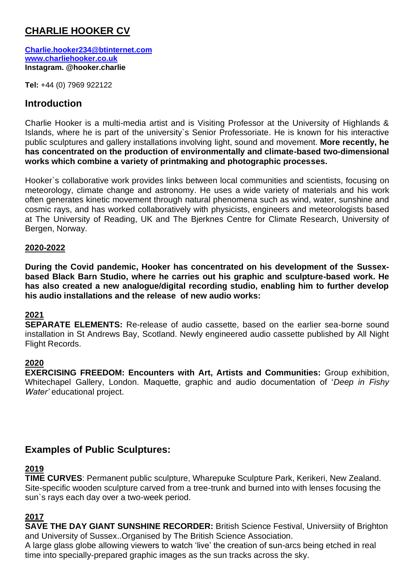# **CHARLIE HOOKER CV**

**[Charlie.hooker234@btinternet.com](mailto:Charlie.hooker234@btinternet.com) [www.charliehooker.co.uk](http://www.charliehooker.co.uk/) Instagram. @hooker.charlie**

**Tel:** +44 (0) 7969 922122

# **Introduction**

Charlie Hooker is a multi-media artist and is Visiting Professor at the University of Highlands & Islands, where he is part of the university`s Senior Professoriate. He is known for his interactive public sculptures and gallery installations involving light, sound and movement. **More recently, he has concentrated on the production of environmentally and climate-based two-dimensional works which combine a variety of printmaking and photographic processes.**

Hooker`s collaborative work provides links between local communities and scientists, focusing on meteorology, climate change and astronomy. He uses a wide variety of materials and his work often generates kinetic movement through natural phenomena such as wind, water, sunshine and cosmic rays, and has worked collaboratively with physicists, engineers and meteorologists based at The University of Reading, UK and The Bjerknes Centre for Climate Research, University of Bergen, Norway.

#### **2020-2022**

**During the Covid pandemic, Hooker has concentrated on his development of the Sussexbased Black Barn Studio, where he carries out his graphic and sculpture-based work. He has also created a new analogue/digital recording studio, enabling him to further develop his audio installations and the release of new audio works:**

### **2021**

**SEPARATE ELEMENTS:** Re-release of audio cassette, based on the earlier sea-borne sound installation in St Andrews Bay, Scotland. Newly engineered audio cassette published by All Night Flight Records.

#### **2020**

**EXERCISING FREEDOM: Encounters with Art, Artists and Communities:** Group exhibition, Whitechapel Gallery, London. Maquette, graphic and audio documentation of '*Deep in Fishy Water'* educational project.

# **Examples of Public Sculptures:**

#### **2019**

**TIME CURVES**: Permanent public sculpture, Wharepuke Sculpture Park, Kerikeri, New Zealand. Site-specific wooden sculpture carved from a tree-trunk and burned into with lenses focusing the sun`s rays each day over a two-week period.

### **2017**

**SAVE THE DAY GIANT SUNSHINE RECORDER:** British Science Festival, Universiity of Brighton and University of Sussex..Organised by The British Science Association.

A large glass globe allowing viewers to watch 'live' the creation of sun-arcs being etched in real time into specially-prepared graphic images as the sun tracks across the sky.